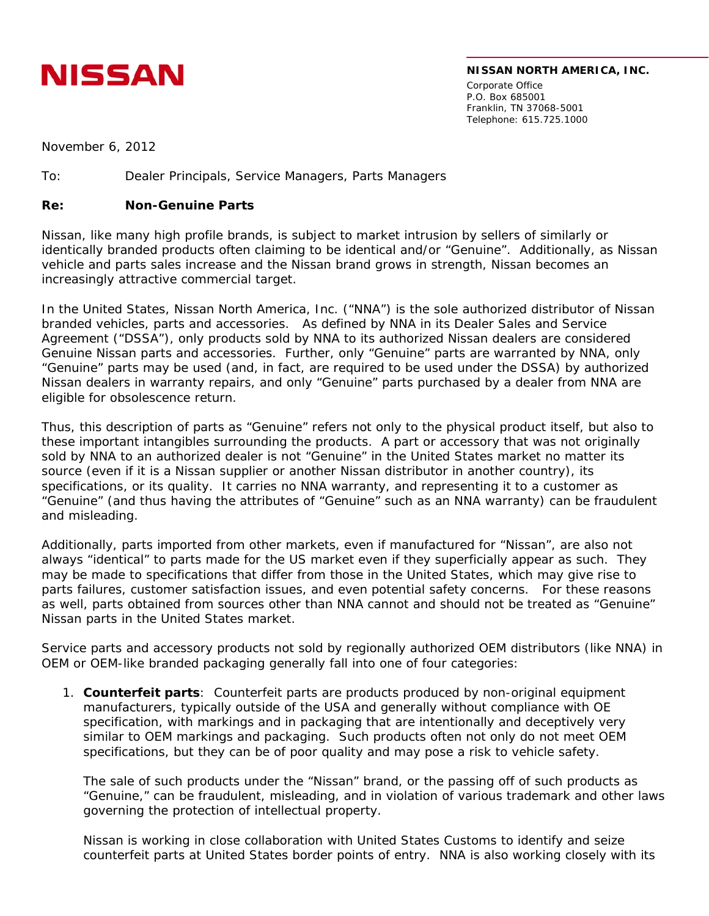

## **NISSAN NORTH AMERICA, INC.**

Corporate Office P.O. Box 685001 Franklin, TN 37068-5001 Telephone: 615.725.1000

November 6, 2012

To: Dealer Principals, Service Managers, Parts Managers

## **Re: Non-Genuine Parts**

Nissan, like many high profile brands, is subject to market intrusion by sellers of similarly or identically branded products often claiming to be identical and/or "Genuine". Additionally, as Nissan vehicle and parts sales increase and the Nissan brand grows in strength, Nissan becomes an increasingly attractive commercial target.

In the United States, Nissan North America, Inc. ("NNA") is the sole authorized distributor of Nissan branded vehicles, parts and accessories. As defined by NNA in its Dealer Sales and Service Agreement ("DSSA"), only products sold by NNA to its authorized Nissan dealers are considered Genuine Nissan parts and accessories. Further, only "Genuine" parts are warranted by NNA, only "Genuine" parts may be used (and, in fact, are required to be used under the DSSA) by authorized Nissan dealers in warranty repairs, and only "Genuine" parts purchased by a dealer from NNA are eligible for obsolescence return.

Thus, this description of parts as "Genuine" refers not only to the physical product itself, but also to these important intangibles surrounding the products. A part or accessory that was not originally sold by NNA to an authorized dealer is not "Genuine" in the United States market no matter its source (even if it is a Nissan supplier or another Nissan distributor in another country), its specifications, or its quality. It carries no NNA warranty, and representing it to a customer as "Genuine" (and thus having the attributes of "Genuine" such as an NNA warranty) can be fraudulent and misleading.

Additionally, parts imported from other markets, even if manufactured for "Nissan", are also not always "identical" to parts made for the US market even if they superficially appear as such. They may be made to specifications that differ from those in the United States, which may give rise to parts failures, customer satisfaction issues, and even potential safety concerns. For these reasons as well, parts obtained from sources other than NNA cannot and should not be treated as "Genuine" Nissan parts in the United States market.

Service parts and accessory products not sold by regionally authorized OEM distributors (like NNA) in OEM or OEM-like branded packaging generally fall into one of four categories:

1. **Counterfeit parts**: Counterfeit parts are products produced by non-original equipment manufacturers, typically outside of the USA and generally without compliance with OE specification, with markings and in packaging that are intentionally and deceptively very similar to OEM markings and packaging. Such products often not only do not meet OEM specifications, but they can be of poor quality and may pose a risk to vehicle safety.

The sale of such products under the "Nissan" brand, or the passing off of such products as "Genuine," can be fraudulent, misleading, and in violation of various trademark and other laws governing the protection of intellectual property.

Nissan is working in close collaboration with United States Customs to identify and seize counterfeit parts at United States border points of entry. NNA is also working closely with its